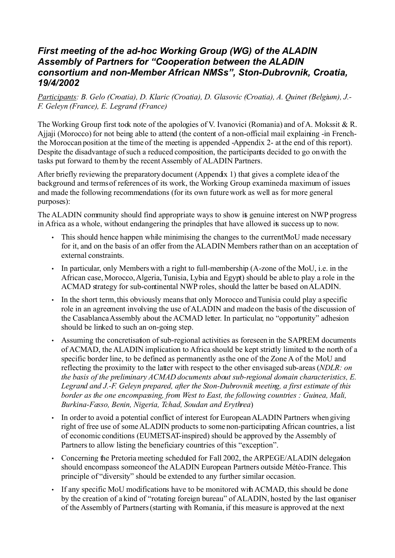#### *First meeting of the ad-hoc Working Group (WG) of the ALADIN Assembly of Partners for "Cooperation between the ALADIN consortium and non-Member African NMSs", Ston-Dubrovnik, Croatia, 19/4/2002*

*Participants: B. Gelo (Croatia), D. Klaric (Croatia), D. Glasovic (Croatia), A. Quinet (Belgium), J.- F. Geleyn (France), E. Legrand (France)*

The Working Group first took note of the apologies of V. Ivanovici (Romania) and of A. Mokssit & R. Ajjaji (Morocco) for not being able to attend (the content of a non-official mail explaining -in Frenchthe Moroccan position at the time of the meeting is appended -Appendix 2- at the end of this report). Despite the disadvantage of such a reduced composition, the participants decided to go on with the tasks put forward to them by the recent Assembly of ALADIN Partners.

After briefly reviewing the preparatory document (Appendix 1) that gives a complete idea of the background and terms of references of its work, the Working Group examined a maximum of issues and made the following recommendations (for its own future work as well as for more general purposes):

The ALADIN community should find appropriate ways to show it genuine interest on NWP progress in Africa as a whole, without endangering the principles that have allowed its success up to now.

- This should hence happen while minimising the changes to the current MoU made necessary for it, and on the basis of an offer from the ALADIN Members rather than on an acceptation of external constraints.
- In particular, only Members with a right to full-membership (A-zone of the MoU, i.e. in the African case, Morocco, Algeria, Tunisia, Lybia and Egypt) should be able to play a role in the ACMAD strategy for sub-continental NWP roles, should the latter be based on ALADIN.
- In the short term, this obviously means that only Morocco and Tunisia could play a specific role in an agreement involving the use of ALADIN and made on the basis of the discussion of the Casablanca Assembly about the ACMAD letter. In particular, no "opportunity" adhesion should be linked to such an on-going step.
- Assuming the concretisation of sub-regional activities as foreseen in the SAPREM documents of ACMAD, the ALADIN implication to Africa should be kept strictly limited to the north of a specific border line, to be defined as permanently as the one of the Zone A of the MoU and reflecting the proximity to the latter with respect to the other envisaged sub-areas (*NDLR: on the basis of the preliminary ACMAD documents about sub-regional domain characteristics, E. Legrand and J.-F. Geleyn prepared, after the Ston-Dubrovnik meeting, a first estimate of this border as the one encompassing, from West to East, the following countries : Guinea, Mali, Burkina-Fasso, Benin, Nigeria, Tchad, Soudan and Erythrea*)
- In order to avoid a potential conflict of interest for European ALADIN Partners when giving right of free use of some ALADIN products to some non-participating African countries, a list of economic conditions (EUMETSAT-inspired) should be approved by the Assembly of Partners to allow listing the beneficiary countries of this "exception".
- Concerning the Pretoria meeting scheduled for Fall 2002, the ARPEGE/ALADIN delegation should encompass someone of the ALADIN European Partners outside Météo-France. This principle of "diversity" should be extended to any further similar occasion.
- If any specific MoU modifications have to be monitored with ACMAD, this should be done by the creation of a kind of "rotating foreign bureau" of ALADIN, hosted by the last organiser of the Assembly of Partners (starting with Romania, if this measure is approved at the next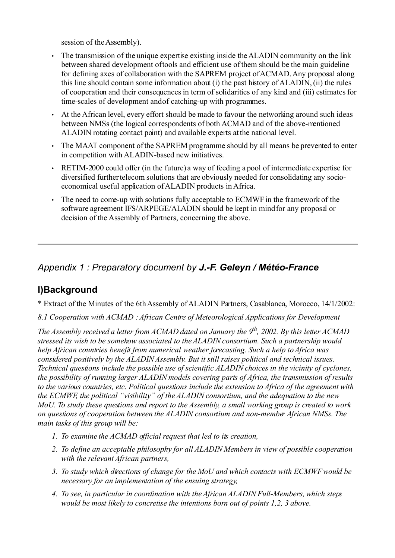session of the Assembly).

- The transmission of the unique expertise existing inside the ALADIN community on the link between shared development of tools and efficient use of them should be the main guideline for defining axes of collaboration with the SAPREM project of ACMAD. Any proposal along this line should contain some information about (i) the past history of ALADIN, (ii) the rules of cooperation and their consequences in term of solidarities of any kind and (iii) estimates for time-scales of development and of catching-up with programmes.
- At the African level, every effort should be made to favour the networking around such ideas between NMSs (the logical correspondents of both ACMAD and of the above-mentioned ALADIN rotating contact point) and available experts at the national level.
- The MAAT component of the SAPREM programme should by all means be prevented to enter in competition with ALADIN-based new initiatives.
- RETIM-2000 could offer (in the future) a way of feeding a pool of intermediate expertise for diversified further telecom solutions that are obviously needed for consolidating any socioeconomical useful application of ALADIN products in Africa.
- The need to come-up with solutions fully acceptable to ECMWF in the framework of the software agreement IFS/ARPEGE/ALADIN should be kept in mind for any proposal or decision of the Assembly of Partners, concerning the above.

# *Appendix 1 : Preparatory document by J.-F. Geleyn / Météo-France*

# **I)Background**

\* Extract of the Minutes of the 6th Assembly of ALADIN Partners, Casablanca, Morocco, 14/1/2002:

*8.1 Cooperation with ACMAD : African Centre of Meteorological Applications for Development*

*The Assembly received a letter from ACMAD dated on January the 9th , 2002. By this letter ACMAD stressed its wish to be somehow associated to the ALADIN consortium. Such a partnership would help African countries benefit from numerical weather forecasting. Such a help to Africa was considered positively by the ALADIN Assembly. But it still raises political and technical issues. Technical questions include the possible use of scientific ALADIN choices in the vicinity of cyclones, the possibility of running larger ALADIN models covering parts of Africa, the transmission of results to the various countries, etc. Political questions include the extension to Africa of the agreement with the ECMWF, the political "visibility" of the ALADIN consortium, and the adequation to the new MoU. To study these questions and report to the Assembly, a small working group is created to work on questions of cooperation between the ALADIN consortium and non-member African NMSs. The main tasks of this group will be:*

- *1. To examine the ACMAD official request that led to its creation,*
- *2. To define an acceptable philosophy for all ALADIN Members in view of possible cooperation with the relevant African partners,*
- *3. To study which directions of change for the MoU and which contacts with ECMWF would be necessary for an implementation of the ensuing strategy,*
- *4. To see, in particular in coordination with the African ALADIN Full-Members, which steps would be most likely to concretise the intentions born out of points 1,2, 3 above.*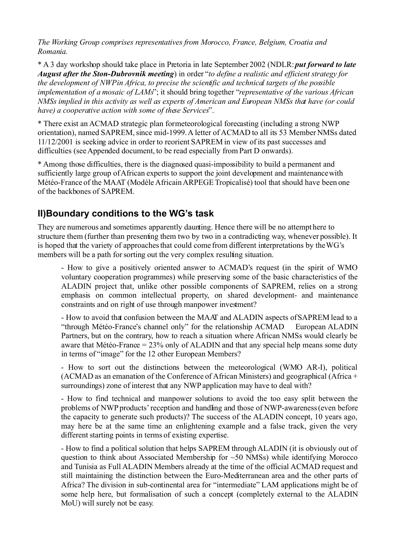*The Working Group comprises representatives from Morocco, France, Belgium, Croatia and Romania.*

\* A 3 day workshop should take place in Pretoria in late September 2002 (NDLR: *put forward to late August after the Ston-Dubrovnik meeting*) in order "*to define a realistic and efficient strategy for the development of NWP in Africa, to precise the scientific and technical targets of the possible implementation of a mosaic of LAMs*"; it should bring together "*representative of the various African NMSs implied in this activity as well as experts of American and European NMSs that have (or could have) a cooperative action with some of these Services*".

\* There exist an ACMAD strategic plan for meteorological forecasting (including a strong NWP orientation), named SAPREM, since mid-1999. A letter of ACMAD to all its 53 Member NMSs dated 11/12/2001 is seeking advice in order to reorient SAPREM in view of its past successes and difficulties (see Appended document, to be read especially from Part D onwards).

\* Among those difficulties, there is the diagnosed quasi-impossibility to build a permanent and sufficiently large group of African experts to support the joint development and maintenance with Météo-France of the MAAT (Modéle Africain ARPEGE Tropicalisé) tool that should have been one of the backbones of SAPREM.

# **II)Boundary conditions to the WG's task**

They are numerous and sometimes apparently daunting. Hence there will be no attempt here to structure them (further than presenting them two by two in a contradicting way, whenever possible). It is hoped that the variety of approaches that could come from different interpretations by the WG's members will be a path for sorting out the very complex resulting situation.

- How to give a positively oriented answer to ACMAD's request (in the spirit of WMO voluntary cooperation programmes) while preserving some of the basic characteristics of the ALADIN project that, unlike other possible components of SAPREM, relies on a strong emphasis on common intellectual property, on shared development- and maintenance constraints and on right of use through manpower investment?

- How to avoid that confusion between the MAAT and ALADIN aspects of SAPREM lead to a "through Météo-France's channel only" for the relationship ACMAD European ALADIN Partners, but on the contrary, how to reach a situation where African NMSs would clearly be aware that Météo-France = 23% only of ALADIN and that any special help means some duty in terms of "image" for the 12 other European Members?

- How to sort out the distinctions between the meteorological (WMO AR-I), political (ACMAD as an emanation of the Conference of African Ministers) and geographical (Africa + surroundings) zone of interest that any NWP application may have to deal with?

- How to find technical and manpower solutions to avoid the too easy split between the problems of NWP products' reception and handling and those of NWP-awareness (even before the capacity to generate such products)? The success of the ALADIN concept, 10 years ago, may here be at the same time an enlightening example and a false track, given the very different starting points in terms of existing expertise.

- How to find a political solution that helps SAPREM through ALADIN (it is obviously out of question to think about Associated Membership for  $\sim$  50 NMSs) while identifying Morocco and Tunisia as Full ALADIN Members already at the time of the official ACMAD request and still maintaining the distinction between the Euro-Mediterranean area and the other parts of Africa? The division in sub-continental area for "intermediate" LAM applications might be of some help here, but formalisation of such a concept (completely external to the ALADIN MoU) will surely not be easy.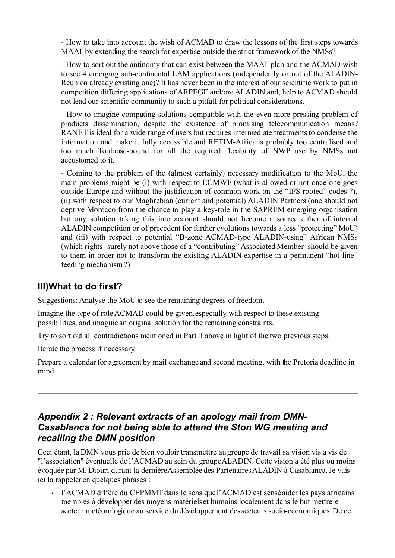- How to take into account the wish of ACMAD to draw the lessons of the first steps towards MAAT by extending the search for expertise outside the strict framework of the NMSs?

- How to sort out the antinomy that can exist between the MAAT plan and the ACMAD wish to see 4 emerging sub-continental LAM applications (independently or not of the ALADIN-Reunion already existing one)? It has never been in the interest of our scientific work to put in competition differing applications of ARPEGE and/ore ALADIN and, help to ACMAD should not lead our scientific community to such a pitfall for political considerations.

- How to imagine computing solutions compatible with the even more pressing problem of products dissemination, despite the existence of promising telecommunication means? RANET is ideal for a wide range of users but requires intermediate treatments to condense the information and make it fully accessible and RETIM-Africa is probably too centralised and too much Toulouse-bound for all the required flexibility of NWP use by NMSs not accustomed to it.

- Coming to the problem of the (almost certainly) necessary modification to the MoU, the main problems might be (i) with respect to ECMWF (what is allowed or not once one goes outside Europe and without the justification of common work on the "IFS-rooted" codes ?), (ii) with respect to our Maghrebian (current and potential) ALADIN Partners (one should not deprive Morocco from the chance to play a key-role in the SAPREM emerging organisation but any solution taking this into account should not become a source either of internal ALADIN competition or of precedent for further evolutions towards a less "protecting" MoU) and (iii) with respect to potential "B-zone ACMAD-type ALADIN-using" African NMSs (which rights -surely not above those of a "contributing" Associated Member- should be given to them in order not to transform the existing ALADIN expertise in a permanent "hot-line" feeding mechanism ?)

#### **III)What to do first?**

Suggestions: Analyse the MoU to see the remaining degrees of freedom.

Imagine the type of role ACMAD could be given, especially with respect to these existing possibilities, and imagine an original solution for the remaining constraints.

Try to sort out all contradictions mentioned in Part II above in light of the two previous steps.

Iterate the process if necessary.

Prepare a calendar for agreement by mail exchange and second meeting, with the Pretoria deadline in mind.

#### *Appendix 2 : Relevant extracts of an apology mail from DMN-Casablanca for not being able to attend the Ston WG meeting and recalling the DMN position*

Ceci étant, la DMN vous prie de bien vouloir transmettre au groupe de travail sa vision vis a vis de "l'association" éventuelle de l'ACMAD au sein du groupe ALADIN. Cette vision a été plus ou moins évoquée par M. Diouri durant la dernière Assemblée des Partenaires ALADIN à Casablanca. Je vais ici la rappeler en quelques phrases :

• l'ACMAD diffère du CEPMMT dans le sens que l'ACMAD est sensé aider les pays africains membres à développer des moyens matériels et humains localement dans le but mettre le secteur météorologique au service du développement des secteurs socio-économiques. De ce